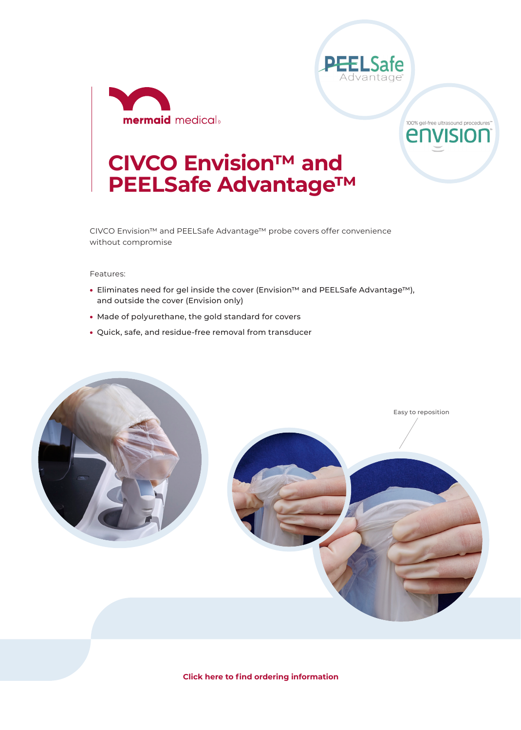



100% gel-free ultrasound procedures" envision

## **CIVCO Envision™ and PEELSafe Advantage™**

CIVCO Envision™ and PEELSafe Advantage™ probe covers offer convenience without compromise

Features:

- Eliminates need for gel inside the cover (Envision™ and PEELSafe Advantage™), and outside the cover (Envision only)
- Made of polyurethane, the gold standard for covers
- Quick, safe, and residue-free removal from transducer